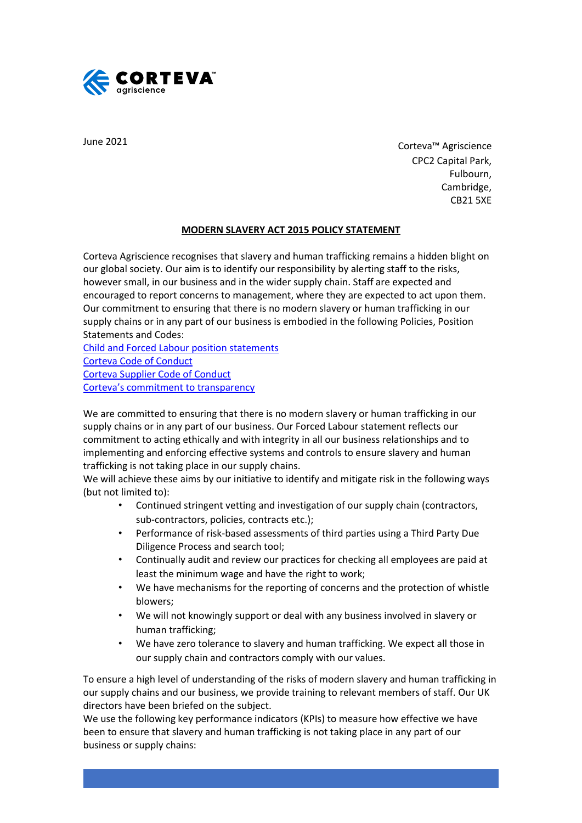

June 2021

Corteva™ Agriscience CPC2 Capital Park, Fulbourn, Cambridge, CB21 5XE

## **MODERN SLAVERY ACT 2015 POLICY STATEMENT**

Corteva Agriscience recognises that slavery and human trafficking remains a hidden blight on our global society. Our aim is to identify our responsibility by alerting staff to the risks, however small, in our business and in the wider supply chain. Staff are expected and encouraged to report concerns to management, where they are expected to act upon them. Our commitment to ensuring that there is no modern slavery or human trafficking in our supply chains or in any part of our business is embodied in the following Policies, Position Statements and Codes:

[Child and Forced Labour position statements](https://www.supplier-center.corteva.com/policies-and-guidelines.html) [Corteva Code of Conduct](https://www.corteva.com/code-of-conduct.html) [Corteva Supplier Code of Conduct](https://www.supplier-center.corteva.com/supplier-code-of-conduct.html) [Corteva's commitment to transparency](https://www.corteva.com/our-impact/transparency.html)

We are committed to ensuring that there is no modern slavery or human trafficking in our supply chains or in any part of our business. Our Forced Labour statement reflects our commitment to acting ethically and with integrity in all our business relationships and to implementing and enforcing effective systems and controls to ensure slavery and human trafficking is not taking place in our supply chains.

We will achieve these aims by our initiative to identify and mitigate risk in the following ways (but not limited to):

- Continued stringent vetting and investigation of our supply chain (contractors, sub-contractors, policies, contracts etc.);
- Performance of risk-based assessments of third parties using a Third Party Due Diligence Process and search tool;
- Continually audit and review our practices for checking all employees are paid at least the minimum wage and have the right to work;
- We have mechanisms for the reporting of concerns and the protection of whistle blowers;
- We will not knowingly support or deal with any business involved in slavery or human trafficking;
- We have zero tolerance to slavery and human trafficking. We expect all those in our supply chain and contractors comply with our values.

To ensure a high level of understanding of the risks of modern slavery and human trafficking in our supply chains and our business, we provide training to relevant members of staff. Our UK directors have been briefed on the subject.

We use the following key performance indicators (KPIs) to measure how effective we have been to ensure that slavery and human trafficking is not taking place in any part of our business or supply chains: